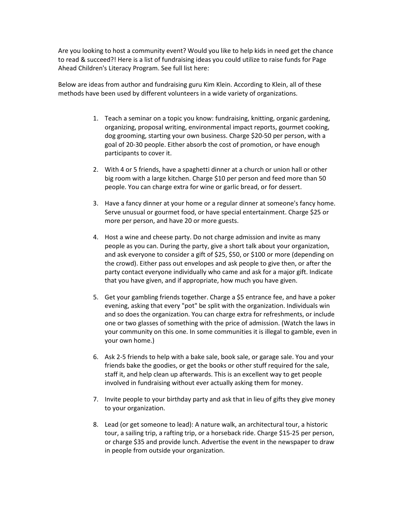Are you looking to host a community event? Would you like to help kids in need get the chance to read & succeed?! Here is a list of fundraising ideas you could utilize to raise funds for Page Ahead Children's Literacy Program. See full list here:

Below are ideas from author and fundraising guru Kim Klein. According to Klein, all of these methods have been used by different volunteers in a wide variety of organizations.

- 1. Teach a seminar on a topic you know: fundraising, knitting, organic gardening, organizing, proposal writing, environmental impact reports, gourmet cooking, dog grooming, starting your own business. Charge \$20-50 per person, with a goal of 20-30 people. Either absorb the cost of promotion, or have enough participants to cover it.
- 2. With 4 or 5 friends, have a spaghetti dinner at a church or union hall or other big room with a large kitchen. Charge \$10 per person and feed more than 50 people. You can charge extra for wine or garlic bread, or for dessert.
- 3. Have a fancy dinner at your home or a regular dinner at someone's fancy home. Serve unusual or gourmet food, or have special entertainment. Charge \$25 or more per person, and have 20 or more guests.
- 4. Host a wine and cheese party. Do not charge admission and invite as many people as you can. During the party, give a short talk about your organization, and ask everyone to consider a gift of \$25, \$50, or \$100 or more (depending on the crowd). Either pass out envelopes and ask people to give then, or after the party contact everyone individually who came and ask for a major gift. Indicate that you have given, and if appropriate, how much you have given.
- 5. Get your gambling friends together. Charge a \$5 entrance fee, and have a poker evening, asking that every "pot" be split with the organization. Individuals win and so does the organization. You can charge extra for refreshments, or include one or two glasses of something with the price of admission. (Watch the laws in your community on this one. In some communities it is illegal to gamble, even in your own home.)
- 6. Ask 2-5 friends to help with a bake sale, book sale, or garage sale. You and your friends bake the goodies, or get the books or other stuff required for the sale, staff it, and help clean up afterwards. This is an excellent way to get people involved in fundraising without ever actually asking them for money.
- 7. Invite people to your birthday party and ask that in lieu of gifts they give money to your organization.
- 8. Lead (or get someone to lead): A nature walk, an architectural tour, a historic tour, a sailing trip, a rafting trip, or a horseback ride. Charge \$15-25 per person, or charge \$35 and provide lunch. Advertise the event in the newspaper to draw in people from outside your organization.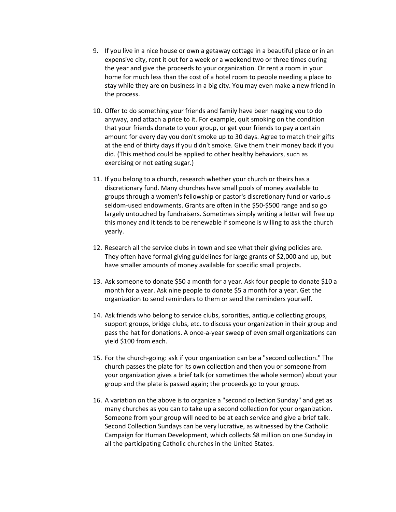- 9. If you live in a nice house or own a getaway cottage in a beautiful place or in an expensive city, rent it out for a week or a weekend two or three times during the year and give the proceeds to your organization. Or rent a room in your home for much less than the cost of a hotel room to people needing a place to stay while they are on business in a big city. You may even make a new friend in the process.
- 10. Offer to do something your friends and family have been nagging you to do anyway, and attach a price to it. For example, quit smoking on the condition that your friends donate to your group, or get your friends to pay a certain amount for every day you don't smoke up to 30 days. Agree to match their gifts at the end of thirty days if you didn't smoke. Give them their money back if you did. (This method could be applied to other healthy behaviors, such as exercising or not eating sugar.)
- 11. If you belong to a church, research whether your church or theirs has a discretionary fund. Many churches have small pools of money available to groups through a women's fellowship or pastor's discretionary fund or various seldom-used endowments. Grants are often in the \$50-\$500 range and so go largely untouched by fundraisers. Sometimes simply writing a letter will free up this money and it tends to be renewable if someone is willing to ask the church yearly.
- 12. Research all the service clubs in town and see what their giving policies are. They often have formal giving guidelines for large grants of \$2,000 and up, but have smaller amounts of money available for specific small projects.
- 13. Ask someone to donate \$50 a month for a year. Ask four people to donate \$10 a month for a year. Ask nine people to donate \$5 a month for a year. Get the organization to send reminders to them or send the reminders yourself.
- 14. Ask friends who belong to service clubs, sororities, antique collecting groups, support groups, bridge clubs, etc. to discuss your organization in their group and pass the hat for donations. A once-a-year sweep of even small organizations can yield \$100 from each.
- 15. For the church-going: ask if your organization can be a "second collection." The church passes the plate for its own collection and then you or someone from your organization gives a brief talk (or sometimes the whole sermon) about your group and the plate is passed again; the proceeds go to your group.
- 16. A variation on the above is to organize a "second collection Sunday" and get as many churches as you can to take up a second collection for your organization. Someone from your group will need to be at each service and give a brief talk. Second Collection Sundays can be very lucrative, as witnessed by the Catholic Campaign for Human Development, which collects \$8 million on one Sunday in all the participating Catholic churches in the United States.